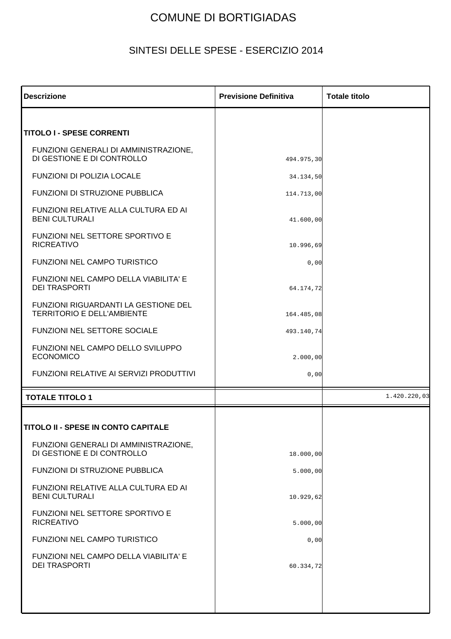## COMUNE DI BORTIGIADAS

## SINTESI DELLE SPESE - ESERCIZIO 2014

| <b>Descrizione</b>                                                        | <b>Previsione Definitiva</b> | <b>Totale titolo</b> |
|---------------------------------------------------------------------------|------------------------------|----------------------|
|                                                                           |                              |                      |
| <b>TITOLO I - SPESE CORRENTI</b>                                          |                              |                      |
| FUNZIONI GENERALI DI AMMINISTRAZIONE,<br>DI GESTIONE E DI CONTROLLO       | 494.975,30                   |                      |
| <b>FUNZIONI DI POLIZIA LOCALE</b>                                         | 34.134,50                    |                      |
| FUNZIONI DI STRUZIONE PUBBLICA                                            | 114.713,00                   |                      |
| FUNZIONI RELATIVE ALLA CULTURA ED AI<br><b>BENI CULTURALI</b>             | 41.600,00                    |                      |
| <b>FUNZIONI NEL SETTORE SPORTIVO E</b><br><b>RICREATIVO</b>               | 10.996,69                    |                      |
| <b>FUNZIONI NEL CAMPO TURISTICO</b>                                       | 0,00                         |                      |
| FUNZIONI NEL CAMPO DELLA VIABILITA' E<br><b>DEI TRASPORTI</b>             | 64.174,72                    |                      |
| FUNZIONI RIGUARDANTI LA GESTIONE DEL<br><b>TERRITORIO E DELL'AMBIENTE</b> | 164.485,08                   |                      |
| FUNZIONI NEL SETTORE SOCIALE                                              | 493.140,74                   |                      |
| FUNZIONI NEL CAMPO DELLO SVILUPPO<br><b>ECONOMICO</b>                     | 2.000,00                     |                      |
| <b>FUNZIONI RELATIVE AI SERVIZI PRODUTTIVI</b>                            | 0,00                         |                      |
| <b>TOTALE TITOLO 1</b>                                                    |                              | 1.420.220,03         |
|                                                                           |                              |                      |
| TITOLO II - SPESE IN CONTO CAPITALE                                       |                              |                      |
| FUNZIONI GENERALI DI AMMINISTRAZIONE,<br>DI GESTIONE E DI CONTROLLO       | 18.000,00                    |                      |
| FUNZIONI DI STRUZIONE PUBBLICA                                            | 5.000,00                     |                      |
| FUNZIONI RELATIVE ALLA CULTURA ED AI<br><b>BENI CULTURALI</b>             | 10.929,62                    |                      |
| FUNZIONI NEL SETTORE SPORTIVO E<br><b>RICREATIVO</b>                      | 5.000,00                     |                      |
| FUNZIONI NEL CAMPO TURISTICO                                              | 0,00                         |                      |
| FUNZIONI NEL CAMPO DELLA VIABILITA' E<br><b>DEI TRASPORTI</b>             | 60.334,72                    |                      |
|                                                                           |                              |                      |
|                                                                           |                              |                      |